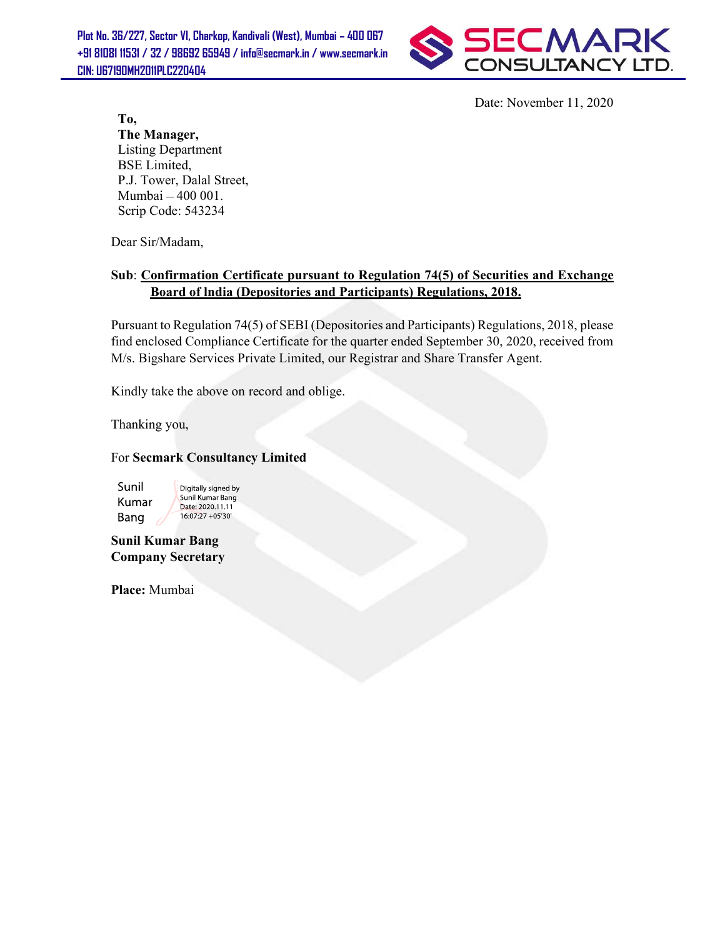Plot No. 36/227, Sector VI, Charkop, Kandivali (West), Mumbai - 400 067 +91 81081 11531 / 32 / 98692 65949 / info@secmark.in / www.secmark.in CIN: U67190MH2011PLC220404



Date: November 11, 2020

To, The Manager, Listing Department BSE Limited, P.J. Tower, Dalal Street, Mumbai - 400 001. Scrip Code: 543234

Dear Sir/Madam,

## Sub: Confirmation Certificate pursuant to Regulation 74(5) of Securities and Exchange Board of lndia (Depositories and Participants) Regulations, 2018.

Pursuant to Regulation 74(5) of SEBI (Depositories and Participants) Regulations, 2018, please find enclosed Compliance Certificate for the quarter ended September 30, 2020, received from M/s. Bigshare Services Private Limited, our Registrar and Share Transfer Agent.

Kindly take the above on record and oblige.

Thanking you,

#### For Secmark Consultancy Limited

Sunil Kumar Bang

Digitally signed by Sunil Kumar Bang Date: 2020.11.11 16:07:27 +05'30"

Sunil Kumar Bang Company Secretary

Place: Mumbai